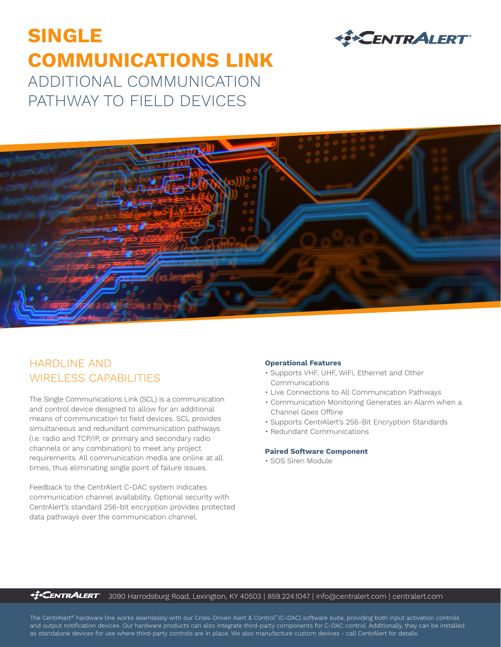# **SINGLE COMMUNICATIONS LINK** ADDITIONAL COMMUNICATION PATHWAY TO FIELD DEVICES



### HARDLINE AND WIRELESS CAPABILITIES

The Single Communications Link (SCL) is a communication and control device designed to allow for an additional means of communication to field devices. SCL provides simultaneous and redundant communication pathways (i.e. radio and TCP/IP, or primary and secondary radio channels or any combination) to meet any project requirements. All communication media are online at all times, thus eliminating single point of failure issues.

Feedback to the CentrAlert C-DAC system indicates communication channel availability. Optional security with CentrAlert's standard 256-bit encryption provides protected data pathways over the communication channel.

#### **Operational Features**

- Supports VHF, UHF, WiFi, Ethernet and Other Communications
- Live Connections to All Communication Pathways
- Communication Monitoring Generates an Alarm when a Channel Goes Offline

**EXCENTRALERT** 

- Supports CentrAlert's 256-Bit Encryption Standards
- Redundant Communications

#### **Paired Software Component**

• SOS Siren Module

*<u><sup>42</sup></u>***CENTRALERT** 3090 Harrodsburg Road, Lexington, KY 40503 | 859.224.1047 | info@centralert.com | centralert.com

The CentrAlert® hardware line works seamlessly with our Crisis-Driven Alert & Control™ (C-DAC) software suite, providing both input activation controls and output notification devices. Our hardware products can also integrate third-party components for C-DAC control. Additionally, they can be installed as standalone devices for use where third-party controls are in place. We also manufacture custom devices - call CentrAlert for details.